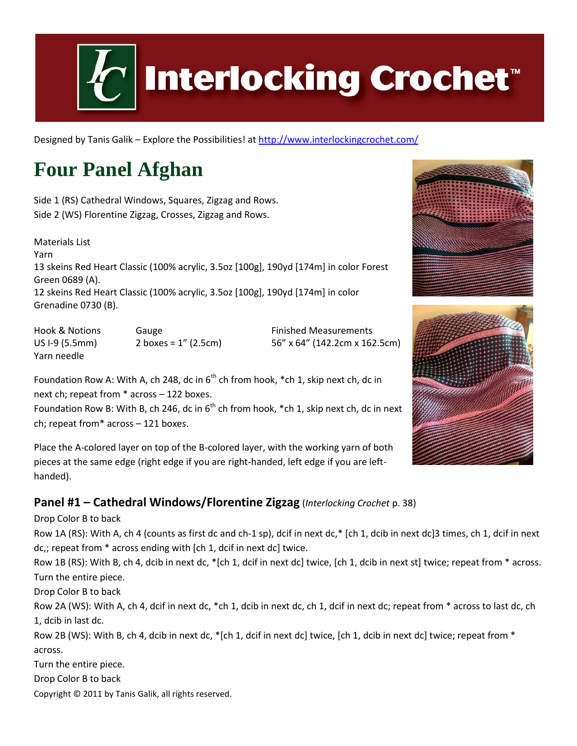

# **Interlocking Crochet™**

Designed by Tanis Galik - Explore the Possibilities! a[t http://www.interlockingcrochet.com/](http://www.interlockingcrochet.com/)

# **Four Panel Afghan**

Side 1 (RS) Cathedral Windows, Squares, Zigzag and Rows. Side 2 (WS) Florentine Zigzag, Crosses, Zigzag and Rows.

Materials List Yarn 13 skeins Red Heart Classic (100% acrylic, 3.5oz [100g], 190yd [174m] in color Forest Green 0689 (A). 12 skeins Red Heart Classic (100% acrylic, 3.5oz [100g], 190yd [174m] in color Grenadine 0730 (B).

Hook & Notions **Gauge Communist Communist Communist Communist Communist Communist Communist Communist Communist Communist Communist Communist Communist Communist Communist Communist Communist Communist Communist Communist** US I-9 (5.5mm) 2 boxes = 1" (2.5cm) 56" x 64" (142.2cm x 162.5cm) Yarn needle

Foundation Row A: With A, ch 248, dc in  $6<sup>th</sup>$  ch from hook, \*ch 1, skip next ch, dc in next ch; repeat from \* across – 122 boxes.

Foundation Row B: With B, ch 246, dc in  $6<sup>th</sup>$  ch from hook, \*ch 1, skip next ch, dc in next ch; repeat from\* across – 121 boxes.

Place the A-colored layer on top of the B-colored layer, with the working yarn of both pieces at the same edge (right edge if you are right-handed, left edge if you are lefthanded).

#### **Panel #1 – Cathedral Windows/Florentine Zigzag** (*Interlocking Crochet* p. 38)

Drop Color B to back

Row 1A (RS): With A, ch 4 (counts as first dc and ch-1 sp), dcif in next dc,\* [ch 1, dcib in next dc]3 times, ch 1, dcif in next dc,; repeat from \* across ending with [ch 1, dcif in next dc] twice.

Row 1B (RS): With B, ch 4, dcib in next dc, \*[ch 1, dcif in next dc] twice, [ch 1, dcib in next st] twice; repeat from \* across. Turn the entire piece.

Drop Color B to back

Row 2A (WS): With A, ch 4, dcif in next dc, \*ch 1, dcib in next dc, ch 1, dcif in next dc; repeat from \* across to last dc, ch 1, dcib in last dc.

Row 2B (WS): With B, ch 4, dcib in next dc, \*[ch 1, dcif in next dc] twice, [ch 1, dcib in next dc] twice; repeat from \* across.

Turn the entire piece.

Drop Color B to back

Copyright © 2011 by Tanis Galik, all rights reserved.

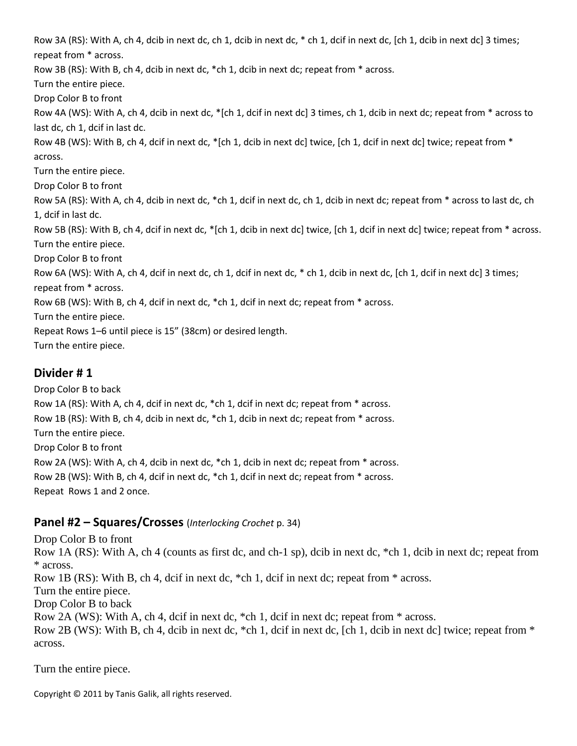Row 3A (RS): With A, ch 4, dcib in next dc, ch 1, dcib in next dc, \* ch 1, dcif in next dc, [ch 1, dcib in next dc] 3 times; repeat from \* across. Row 3B (RS): With B, ch 4, dcib in next dc, \*ch 1, dcib in next dc; repeat from \* across. Turn the entire piece. Drop Color B to front Row 4A (WS): With A, ch 4, dcib in next dc, \*[ch 1, dcif in next dc] 3 times, ch 1, dcib in next dc; repeat from \* across to last dc, ch 1, dcif in last dc. Row 4B (WS): With B, ch 4, dcif in next dc, \*[ch 1, dcib in next dc] twice, [ch 1, dcif in next dc] twice; repeat from \* across. Turn the entire piece. Drop Color B to front Row 5A (RS): With A, ch 4, dcib in next dc, \*ch 1, dcif in next dc, ch 1, dcib in next dc; repeat from \* across to last dc, ch 1, dcif in last dc. Row 5B (RS): With B, ch 4, dcif in next dc, \*[ch 1, dcib in next dc] twice, [ch 1, dcif in next dc] twice; repeat from \* across. Turn the entire piece. Drop Color B to front Row 6A (WS): With A, ch 4, dcif in next dc, ch 1, dcif in next dc, \* ch 1, dcib in next dc, [ch 1, dcif in next dc] 3 times; repeat from \* across. Row 6B (WS): With B, ch 4, dcif in next dc, \*ch 1, dcif in next dc; repeat from \* across. Turn the entire piece. Repeat Rows 1–6 until piece is 15" (38cm) or desired length. Turn the entire piece.

#### **Divider # 1**

Drop Color B to back Row 1A (RS): With A, ch 4, dcif in next dc, \*ch 1, dcif in next dc; repeat from \* across. Row 1B (RS): With B, ch 4, dcib in next dc, \*ch 1, dcib in next dc; repeat from \* across. Turn the entire piece. Drop Color B to front Row 2A (WS): With A, ch 4, dcib in next dc, \*ch 1, dcib in next dc; repeat from \* across. Row 2B (WS): With B, ch 4, dcif in next dc, \*ch 1, dcif in next dc; repeat from \* across. Repeat Rows 1 and 2 once.

#### **Panel #2 – Squares/Crosses** (*Interlocking Crochet* p. 34)

Drop Color B to front Row 1A (RS): With A, ch 4 (counts as first dc, and ch-1 sp), dcib in next dc, \*ch 1, dcib in next dc; repeat from \* across. Row 1B (RS): With B, ch 4, dcif in next dc, \*ch 1, dcif in next dc; repeat from \* across. Turn the entire piece. Drop Color B to back Row 2A (WS): With A, ch 4, dcif in next dc, \*ch 1, dcif in next dc; repeat from \* across. Row 2B (WS): With B, ch 4, dcib in next dc,  $*$ ch 1, dcif in next dc, [ch 1, dcib in next dc] twice; repeat from  $*$ across.

Turn the entire piece.

Copyright © 2011 by Tanis Galik, all rights reserved.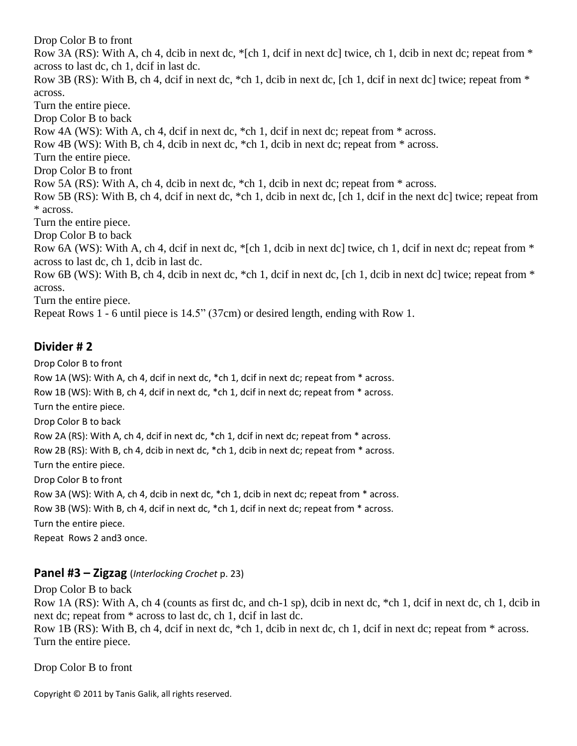Drop Color B to front

Row 3A (RS): With A, ch 4, dcib in next dc, \*[ch 1, dcif in next dc] twice, ch 1, dcib in next dc; repeat from \* across to last dc, ch 1, dcif in last dc.

Row 3B (RS): With B, ch 4, dcif in next dc, \*ch 1, dcib in next dc, [ch 1, dcif in next dc] twice; repeat from \* across.

Turn the entire piece.

Drop Color B to back

Row 4A (WS): With A, ch 4, dcif in next dc, \*ch 1, dcif in next dc; repeat from \* across.

Row 4B (WS): With B, ch 4, dcib in next dc,  $*$ ch 1, dcib in next dc; repeat from  $*$  across.

Turn the entire piece.

Drop Color B to front

Row 5A (RS): With A, ch 4, dcib in next dc, \*ch 1, dcib in next dc; repeat from \* across.

Row 5B (RS): With B, ch 4, dcif in next dc, \*ch 1, dcib in next dc, [ch 1, dcif in the next dc] twice; repeat from \* across.

Turn the entire piece.

Drop Color B to back

Row 6A (WS): With A, ch 4, dcif in next dc, \*[ch 1, dcib in next dc] twice, ch 1, dcif in next dc; repeat from \* across to last dc, ch 1, dcib in last dc.

Row 6B (WS): With B, ch 4, dcib in next dc, \*ch 1, dcif in next dc, [ch 1, dcib in next dc] twice; repeat from \* across.

Turn the entire piece.

Repeat Rows 1 - 6 until piece is 14.5" (37cm) or desired length, ending with Row 1.

#### **Divider # 2**

Drop Color B to front

Row 1A (WS): With A, ch 4, dcif in next dc, \*ch 1, dcif in next dc; repeat from \* across.

Row 1B (WS): With B, ch 4, dcif in next dc, \*ch 1, dcif in next dc; repeat from \* across.

Turn the entire piece.

Drop Color B to back

Row 2A (RS): With A, ch 4, dcif in next dc, \*ch 1, dcif in next dc; repeat from \* across.

Row 2B (RS): With B, ch 4, dcib in next dc, \*ch 1, dcib in next dc; repeat from \* across.

Turn the entire piece.

Drop Color B to front

Row 3A (WS): With A, ch 4, dcib in next dc, \*ch 1, dcib in next dc; repeat from \* across.

Row 3B (WS): With B, ch 4, dcif in next dc, \*ch 1, dcif in next dc; repeat from \* across.

Turn the entire piece.

Repeat Rows 2 and3 once.

#### **Panel #3 – Zigzag** (*Interlocking Crochet* p. 23)

Drop Color B to back

Row 1A (RS): With A, ch 4 (counts as first dc, and ch-1 sp), dcib in next dc, \*ch 1, dcif in next dc, ch 1, dcib in next dc; repeat from \* across to last dc, ch 1, dcif in last dc.

Row 1B (RS): With B, ch 4, dcif in next dc, \*ch 1, dcib in next dc, ch 1, dcif in next dc; repeat from \* across. Turn the entire piece.

Drop Color B to front

Copyright © 2011 by Tanis Galik, all rights reserved.